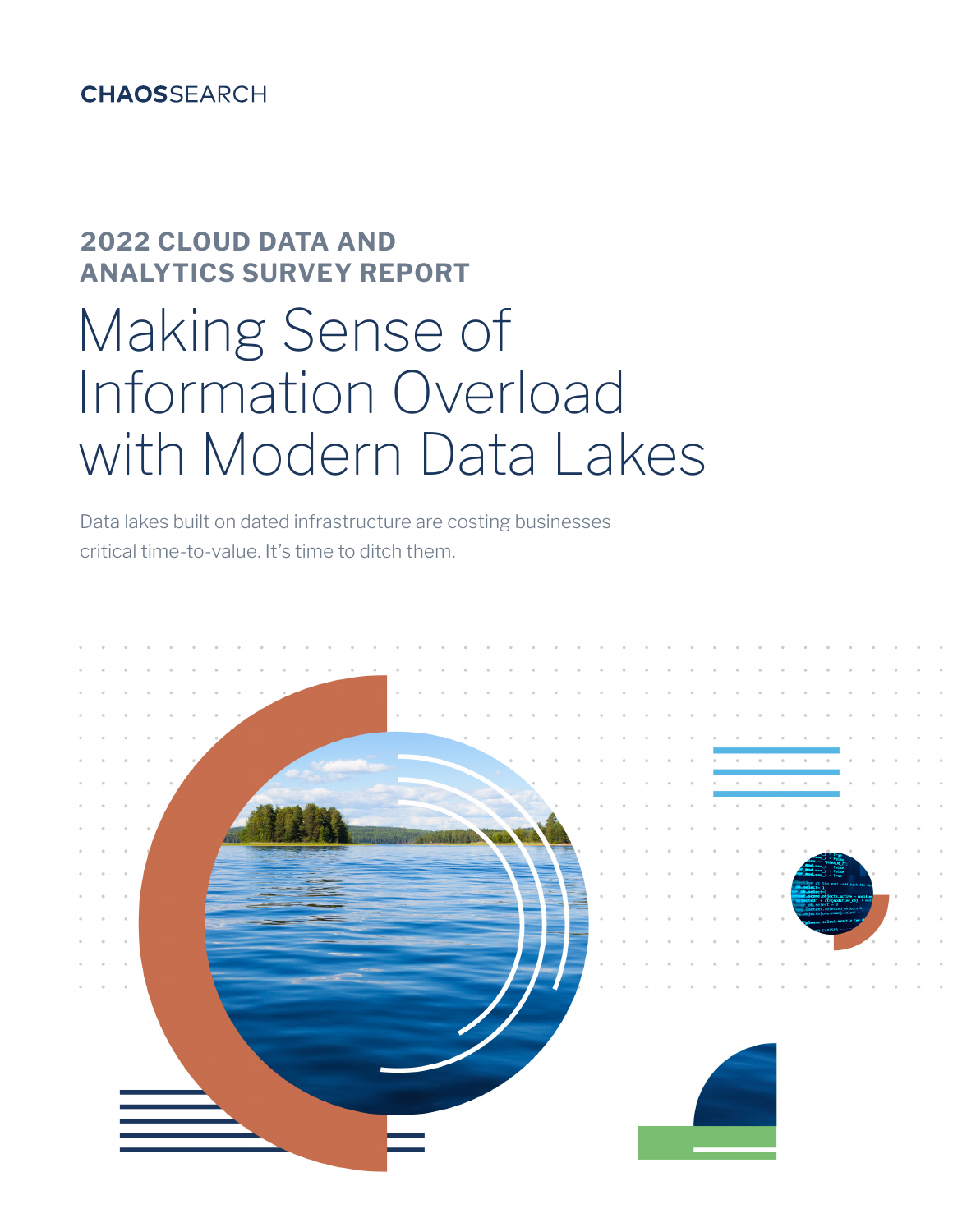## **CHAOSSEARCH**

# **2022 CLOUD DATA AND ANALYTICS SURVEY REPORT** Making Sense of Information Overload with Modern Data Lakes

Data lakes built on dated infrastructure are costing businesses critical time-to-value. It's time to ditch them.

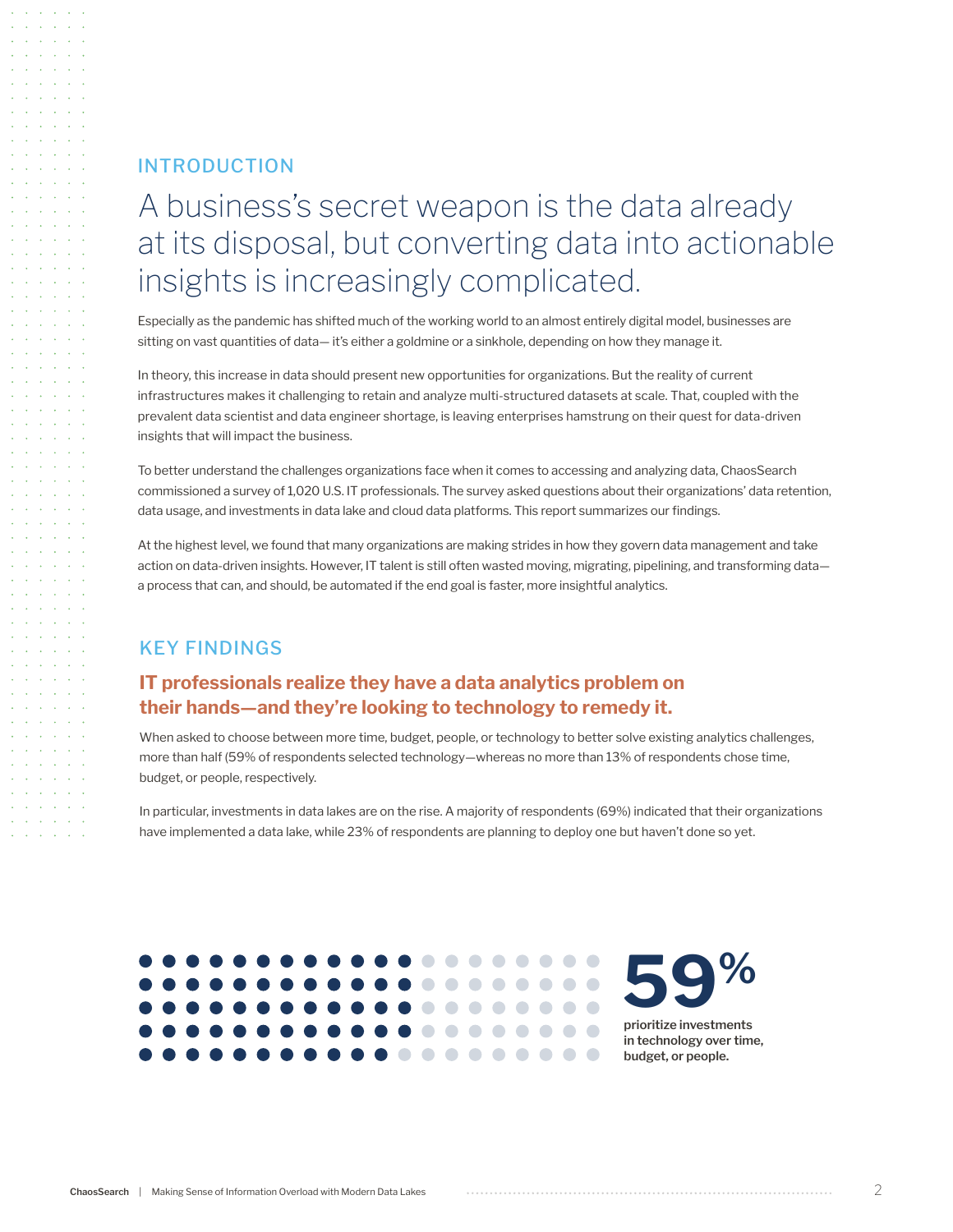## INTRODUCTION

## A business's secret weapon is the data already at its disposal, but converting data into actionable insights is increasingly complicated.

Especially as the pandemic has shifted much of the working world to an almost entirely digital model, businesses are sitting on vast quantities of data— it's either a goldmine or a sinkhole, depending on how they manage it.

In theory, this increase in data should present new opportunities for organizations. But the reality of current infrastructures makes it challenging to retain and analyze multi-structured datasets at scale. That, coupled with the prevalent data scientist and data engineer shortage, is leaving enterprises hamstrung on their quest for data-driven insights that will impact the business.

To better understand the challenges organizations face when it comes to accessing and analyzing data, ChaosSearch commissioned a survey of 1,020 U.S. IT professionals. The survey asked questions about their organizations' data retention, data usage, and investments in data lake and cloud data platforms. This report summarizes our findings.

At the highest level, we found that many organizations are making strides in how they govern data management and take action on data-driven insights. However, IT talent is still often wasted moving, migrating, pipelining, and transforming data a process that can, and should, be automated if the end goal is faster, more insightful analytics.

## KEY FINDINGS

## **IT professionals realize they have a data analytics problem on their hands—and they're looking to technology to remedy it.**

When asked to choose between more time, budget, people, or technology to better solve existing analytics challenges, more than half (59% of respondents selected technology—whereas no more than 13% of respondents chose time, budget, or people, respectively.

In particular, investments in data lakes are on the rise. A majority of respondents (69%) indicated that their organizations have implemented a data lake, while 23% of respondents are planning to deploy one but haven't done so yet.

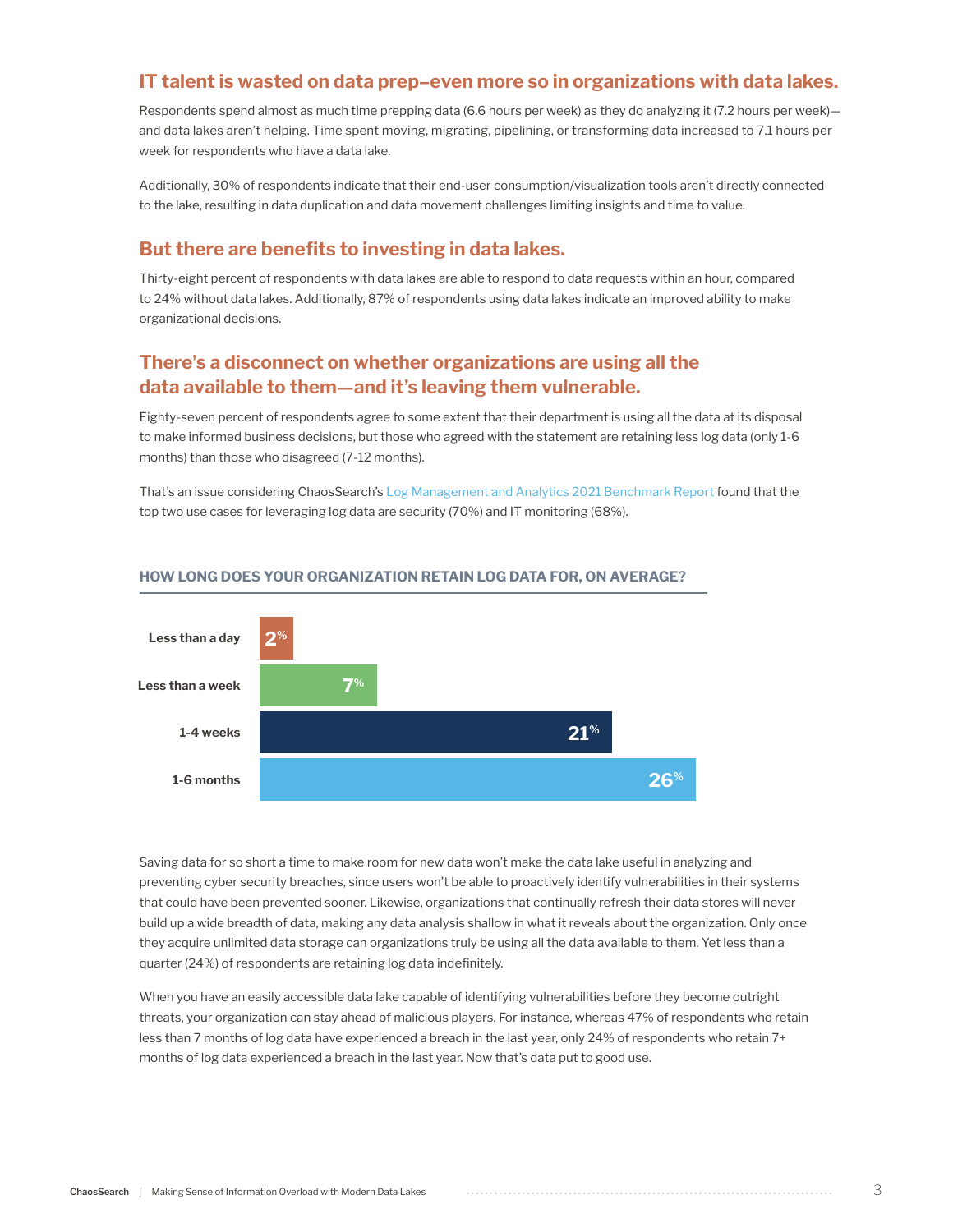## **IT talent is wasted on data prep–even more so in organizations with data lakes.**

Respondents spend almost as much time prepping data (6.6 hours per week) as they do analyzing it (7.2 hours per week) and data lakes aren't helping. Time spent moving, migrating, pipelining, or transforming data increased to 7.1 hours per week for respondents who have a data lake.

Additionally, 30% of respondents indicate that their end-user consumption/visualization tools aren't directly connected to the lake, resulting in data duplication and data movement challenges limiting insights and time to value.

## **But there are benefits to investing in data lakes.**

Thirty-eight percent of respondents with data lakes are able to respond to data requests within an hour, compared to 24% without data lakes. Additionally, 87% of respondents using data lakes indicate an improved ability to make organizational decisions.

## **There's a disconnect on whether organizations are using all the data available to them—and it's leaving them vulnerable.**

Eighty-seven percent of respondents agree to some extent that their department is using all the data at its disposal to make informed business decisions, but those who agreed with the statement are retaining less log data (only 1-6 months) than those who disagreed (7-12 months).

That's an issue considering ChaosSearch's [Log Management and Analytics 2021 Benchmark Report](https://www.chaossearch.io/blog/log-management-and-analytics-benchmark-report) found that the top two use cases for leveraging log data are security (70%) and IT monitoring (68%).



#### **HOW LONG DOES YOUR ORGANIZATION RETAIN LOG DATA FOR, ON AVERAGE?**

Saving data for so short a time to make room for new data won't make the data lake useful in analyzing and preventing cyber security breaches, since users won't be able to proactively identify vulnerabilities in their systems that could have been prevented sooner. Likewise, organizations that continually refresh their data stores will never build up a wide breadth of data, making any data analysis shallow in what it reveals about the organization. Only once they acquire unlimited data storage can organizations truly be using all the data available to them. Yet less than a quarter (24%) of respondents are retaining log data indefinitely.

When you have an easily accessible data lake capable of identifying vulnerabilities before they become outright threats, your organization can stay ahead of malicious players. For instance, whereas 47% of respondents who retain less than 7 months of log data have experienced a breach in the last year, only 24% of respondents who retain 7+ months of log data experienced a breach in the last year. Now that's data put to good use.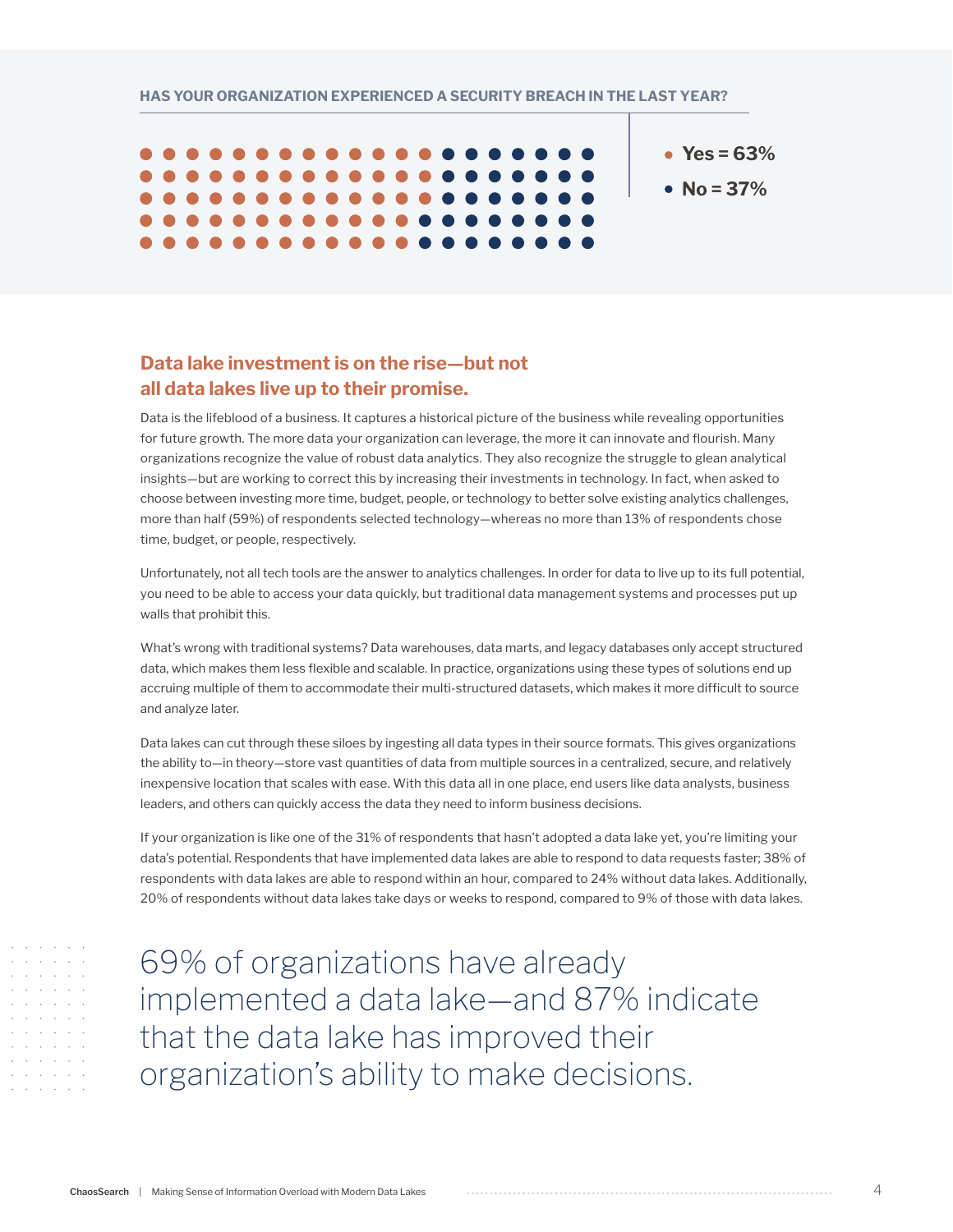#### **HAS YOUR ORGANIZATION EXPERIENCED A SECURITY BREACH IN THE LAST YEAR?**



## **Data lake investment is on the rise—but not all data lakes live up to their promise.**

Data is the lifeblood of a business. It captures a historical picture of the business while revealing opportunities for future growth. The more data your organization can leverage, the more it can innovate and flourish. Many organizations recognize the value of robust data analytics. They also recognize the struggle to glean analytical insights—but are working to correct this by increasing their investments in technology. In fact, when asked to choose between investing more time, budget, people, or technology to better solve existing analytics challenges, more than half (59%) of respondents selected technology—whereas no more than 13% of respondents chose time, budget, or people, respectively.

Unfortunately, not all tech tools are the answer to analytics challenges. In order for data to live up to its full potential, you need to be able to access your data quickly, but traditional data management systems and processes put up walls that prohibit this.

What's wrong with traditional systems? Data warehouses, data marts, and legacy databases only accept structured data, which makes them less flexible and scalable. In practice, organizations using these types of solutions end up accruing multiple of them to accommodate their multi-structured datasets, which makes it more difficult to source and analyze later.

Data lakes can cut through these siloes by ingesting all data types in their source formats. This gives organizations the ability to—in theory—store vast quantities of data from multiple sources in a centralized, secure, and relatively inexpensive location that scales with ease. With this data all in one place, end users like data analysts, business leaders, and others can quickly access the data they need to inform business decisions.

If your organization is like one of the 31% of respondents that hasn't adopted a data lake yet, you're limiting your data's potential. Respondents that have implemented data lakes are able to respond to data requests faster; 38% of respondents with data lakes are able to respond within an hour, compared to 24% without data lakes. Additionally, 20% of respondents without data lakes take days or weeks to respond, compared to 9% of those with data lakes.

69% of organizations have already implemented a data lake—and 87% indicate that the data lake has improved their organization's ability to make decisions.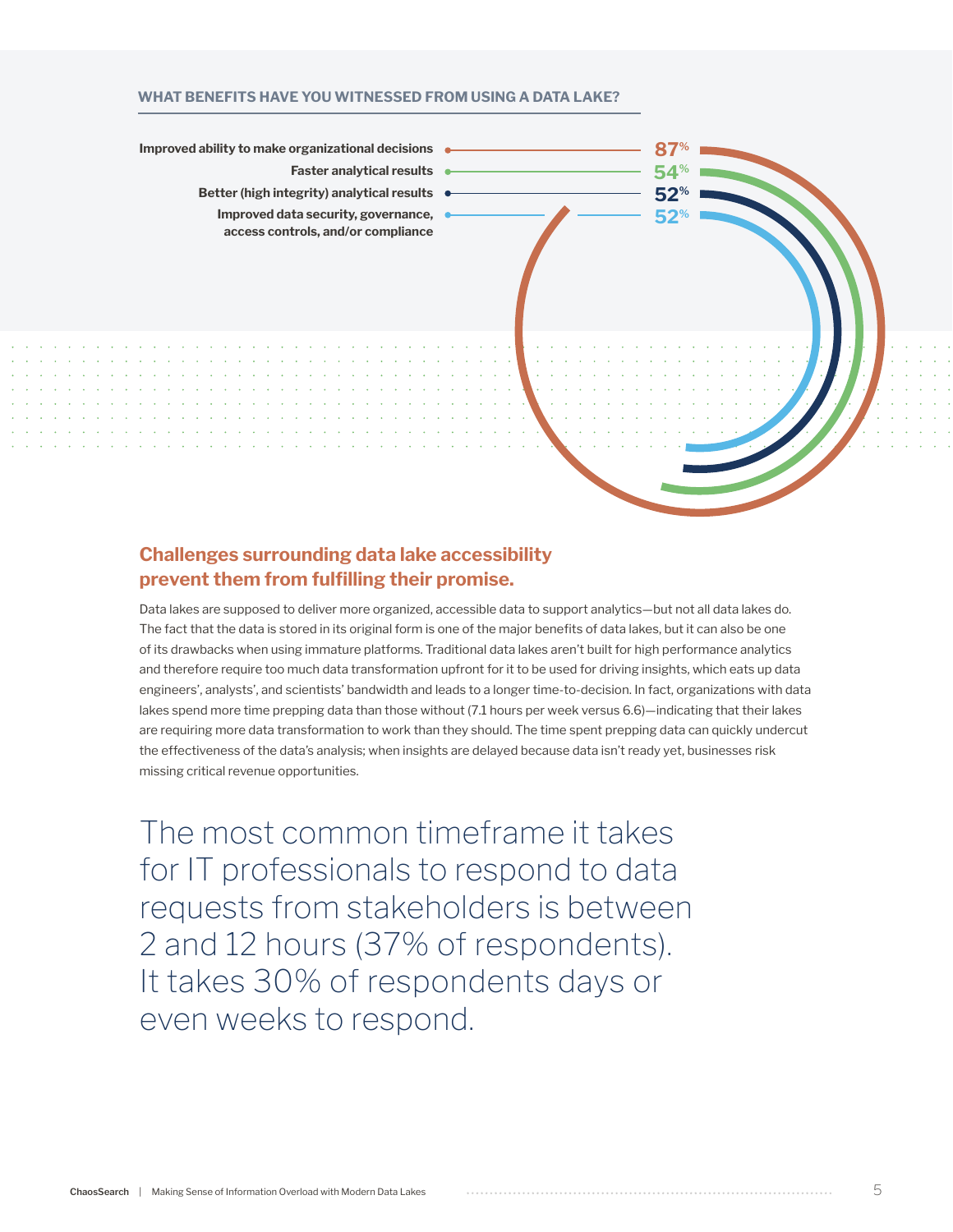#### **WHAT BENEFITS HAVE YOU WITNESSED FROM USING A DATA LAKE?**



## **Challenges surrounding data lake accessibility prevent them from fulfilling their promise.**

Data lakes are supposed to deliver more organized, accessible data to support analytics—but not all data lakes do. The fact that the data is stored in its original form is one of the major benefits of data lakes, but it can also be one of its drawbacks when using immature platforms. Traditional data lakes aren't built for high performance analytics and therefore require too much data transformation upfront for it to be used for driving insights, which eats up data engineers', analysts', and scientists' bandwidth and leads to a longer time-to-decision. In fact, organizations with data lakes spend more time prepping data than those without (7.1 hours per week versus 6.6)—indicating that their lakes are requiring more data transformation to work than they should. The time spent prepping data can quickly undercut the effectiveness of the data's analysis; when insights are delayed because data isn't ready yet, businesses risk missing critical revenue opportunities.

The most common timeframe it takes for IT professionals to respond to data requests from stakeholders is between 2 and 12 hours (37% of respondents). It takes 30% of respondents days or even weeks to respond.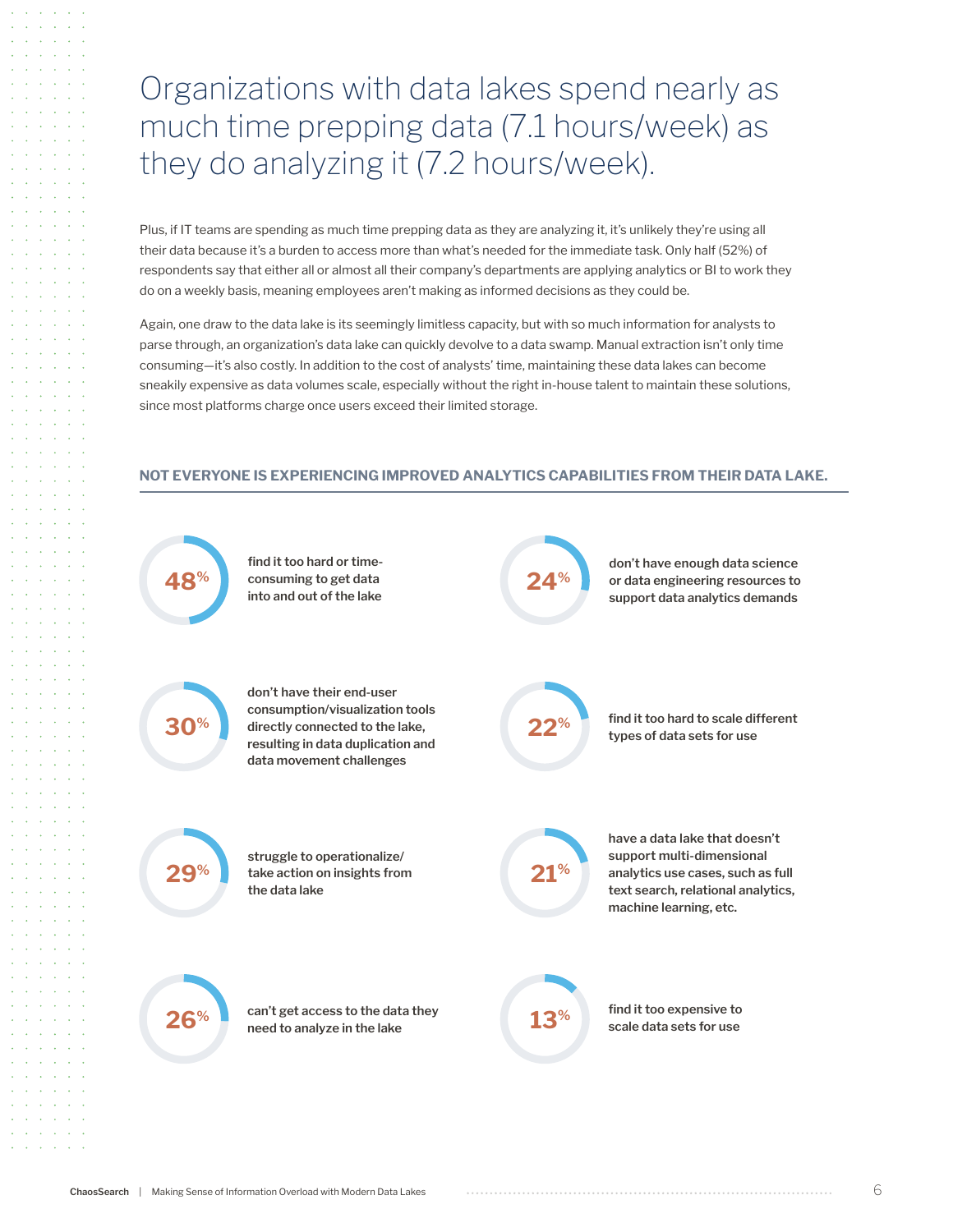## Organizations with data lakes spend nearly as much time prepping data (7.1 hours/week) as they do analyzing it (7.2 hours/week).

Plus, if IT teams are spending as much time prepping data as they are analyzing it, it's unlikely they're using all their data because it's a burden to access more than what's needed for the immediate task. Only half (52%) of respondents say that either all or almost all their company's departments are applying analytics or BI to work they do on a weekly basis, meaning employees aren't making as informed decisions as they could be.

Again, one draw to the data lake is its seemingly limitless capacity, but with so much information for analysts to parse through, an organization's data lake can quickly devolve to a data swamp. Manual extraction isn't only time consuming—it's also costly. In addition to the cost of analysts' time, maintaining these data lakes can become sneakily expensive as data volumes scale, especially without the right in-house talent to maintain these solutions, since most platforms charge once users exceed their limited storage.

#### **NOT EVERYONE IS EXPERIENCING IMPROVED ANALYTICS CAPABILITIES FROM THEIR DATA LAKE.**

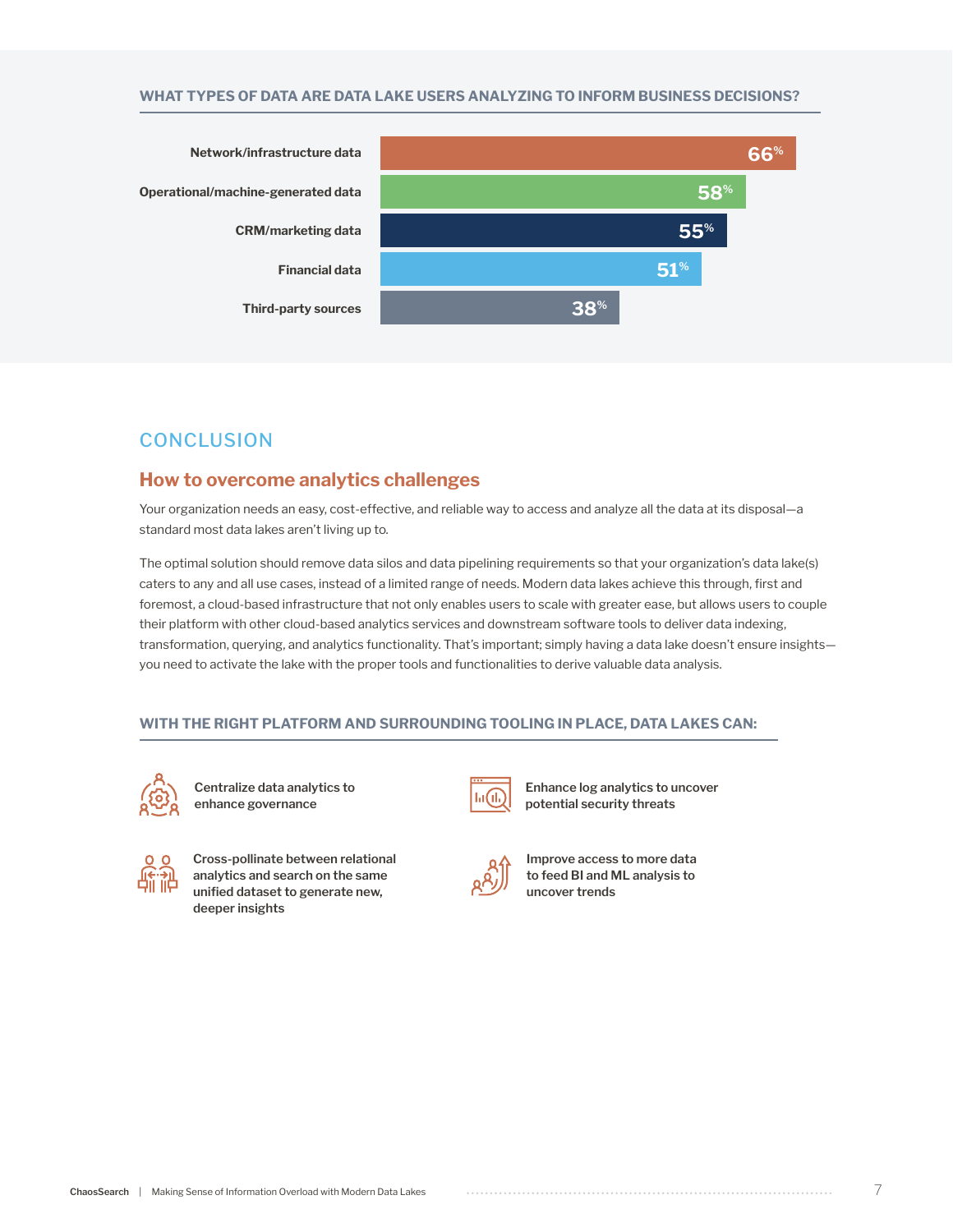#### **WHAT TYPES OF DATA ARE DATA LAKE USERS ANALYZING TO INFORM BUSINESS DECISIONS?**



## **CONCLUSION**

## **How to overcome analytics challenges**

Your organization needs an easy, cost-effective, and reliable way to access and analyze all the data at its disposal—a standard most data lakes aren't living up to.

The optimal solution should remove data silos and data pipelining requirements so that your organization's data lake(s) caters to any and all use cases, instead of a limited range of needs. Modern data lakes achieve this through, first and foremost, a cloud-based infrastructure that not only enables users to scale with greater ease, but allows users to couple their platform with other cloud-based analytics services and downstream software tools to deliver data indexing, transformation, querying, and analytics functionality. That's important; simply having a data lake doesn't ensure insights you need to activate the lake with the proper tools and functionalities to derive valuable data analysis.

#### **WITH THE RIGHT PLATFORM AND SURROUNDING TOOLING IN PLACE, DATA LAKES CAN:**



**Centralize data analytics to enhance governance**



**Enhance log analytics to uncover potential security threats**



**Cross-pollinate between relational analytics and search on the same unified dataset to generate new, deeper insights**

**Improve access to more data to feed BI and ML analysis to uncover trends**